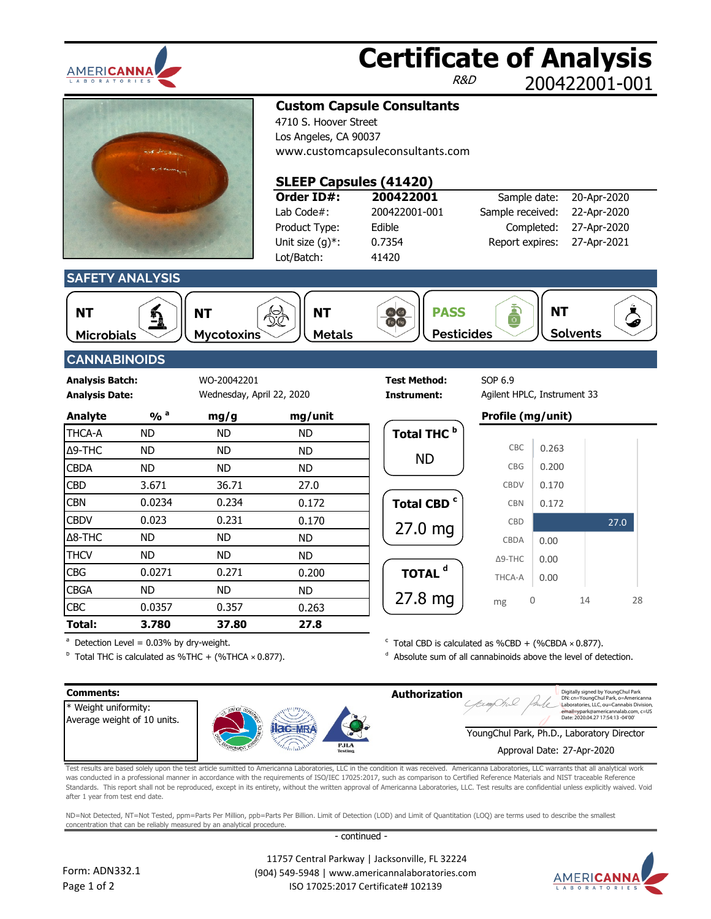

## **Certificate of Analysis**

R&D

200422001-001



**Custom Capsule Consultants**

4710 S. Hoover Street Los Angeles, CA 90037 [www.customcapsuleconsultants.com](http://www.cbdrx4u.com/)

### **SLEEP Capsules (41420)**

**Order ID#:** Lab Code#: 200422001-001 Product Type: Edible Unit size (g)\*: Lot/Batch:

**200422001** 0.7354 41420

| Sample date:     | 20-Apr-2020 |
|------------------|-------------|
| Sample received: | 22-Apr-2020 |
| Completed:       | 27-Apr-2020 |
| Report expires:  | 27-Apr-2021 |
|                  |             |

**SAFETY ANALYSIS**



**Microbials Mycotoxins Metals Pesticides Solvents NT NT NT PASS**









### **CANNABINOIDS**

**Analysis Date: Instrument:** Wednesday, April 22, 2020

**Analysis Batch:** WO-20042201 **Test Method:** SOP 6.9

| <b>Analyte</b> | $\frac{0}{0}$ <sup>a</sup> | mg/g      | mg/unit |                        | Profile (mg/unit) |       |
|----------------|----------------------------|-----------|---------|------------------------|-------------------|-------|
| <b>THCA-A</b>  | <b>ND</b>                  | <b>ND</b> | ND.     | Total THC <sup>b</sup> |                   |       |
| <b>Δ9-THC</b>  | <b>ND</b>                  | <b>ND</b> | ND.     |                        | CBC               | 0.263 |
| <b>CBDA</b>    | <b>ND</b>                  | <b>ND</b> | ND.     | <b>ND</b>              | <b>CBG</b>        | 0.200 |
| <b>CBD</b>     | 3.671                      | 36.71     | 27.0    |                        | <b>CBDV</b>       | 0.170 |
| <b>CBN</b>     | 0.0234                     | 0.234     | 0.172   | Total CBD <sup>c</sup> | <b>CBN</b>        | 0.172 |
| <b>CBDV</b>    | 0.023                      | 0.231     | 0.170   |                        | CBD               |       |
| $\Delta$ 8-THC | <b>ND</b>                  | <b>ND</b> | ND.     | $27.0$ mg              | CBDA              | 0.00  |
| <b>THCV</b>    | <b>ND</b>                  | <b>ND</b> | ND.     |                        | $\Delta$ 9-THC    | 0.00  |
| <b>CBG</b>     | 0.0271                     | 0.271     | 0.200   | TOTAL <sup>d</sup>     | THCA-A            | 0.00  |
| <b>CBGA</b>    | <b>ND</b>                  | <b>ND</b> | ND.     |                        |                   |       |
| <b>CBC</b>     | 0.0357                     | 0.357     | 0.263   | $27.8$ mg              | mg                | 0     |
| Total:         | 3.780                      | 37.80     | 27.8    |                        |                   |       |

# **Total THC Total CBD** 27.0 mg 27.8 mg ND

Agilent HPLC, Instrument 33

|   | riville (liig/uliit) |       |      |    |
|---|----------------------|-------|------|----|
| Þ |                      |       |      |    |
|   | CBC                  | 0.263 |      |    |
|   | CBG                  | 0.200 |      |    |
|   | <b>CBDV</b>          | 0.170 |      |    |
| c | <b>CBN</b>           | 0.172 |      |    |
|   | <b>CBD</b>           |       | 27.0 |    |
|   | <b>CBDA</b>          | 0.00  |      |    |
|   | $\Delta$ 9-THC       | 0.00  |      |    |
|   | THCA-A               | 0.00  |      |    |
|   | mg                   | Λ     | 14   | 28 |

 $a^a$  Detection Level = 0.03% by dry-weight.  $\textdegree$  Total CBD is calculated as %CBD + (%CBDA  $\times$  0.877).

 $^{\circ}$  Total THC is calculated as %THC + (%THCA × 0.877).  $^{\circ}$  Absolute sum of all cannabinoids above the level of detection.



Test results are based solely upon the test article sumitted to Americanna Laboratories, LLC in the condition it was received. Americanna Laboratories, LLC warrants that all analytical work was conducted in a professional manner in accordance with the requirements of ISO/IEC 17025:2017, such as comparison to Certified Reference Materials and NIST traceable Reference Standards. This report shall not be reproduced, except in its entirety, without the written approval of Americanna Laboratories, LLC. Test results are confidential unless explicitly waived. Void after 1 year from test end date.

ND=Not Detected, NT=Not Tested, ppm=Parts Per Million, ppb=Parts Per Billion. Limit of Detection (LOD) and Limit of Quantitation (LOQ) are terms used to describe the smallest concentration that can be reliably measured by an analytical procedure.

- continued -



 11757 Central Parkway | Jacksonville, FL 32224 (904) 549-5948 | www.americannalaboratories.com ISO 17025:2017 Certificate# 102139